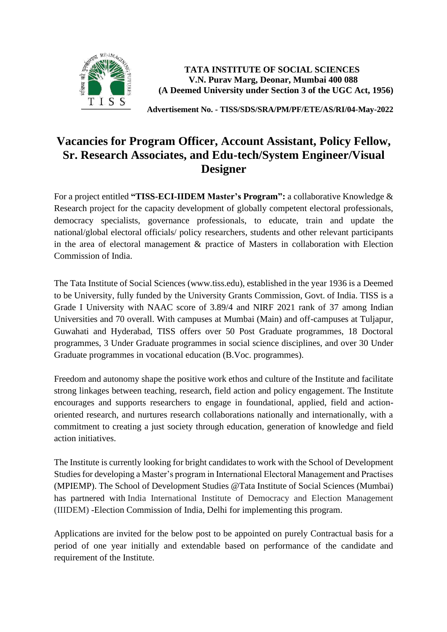

**TATA INSTITUTE OF SOCIAL SCIENCES V.N. Purav Marg, Deonar, Mumbai 400 088 (A Deemed University under Section 3 of the UGC Act, 1956)**

**Advertisement No. - TISS/SDS/SRA/PM/PF/ETE/AS/RI/04-May-2022**

# **Vacancies for Program Officer, Account Assistant, Policy Fellow, Sr. Research Associates, and Edu-tech/System Engineer/Visual Designer**

For a project entitled **"TISS-ECI-IIDEM Master's Program":** a collaborative Knowledge & Research project for the capacity development of globally competent electoral professionals, democracy specialists, governance professionals, to educate, train and update the national/global electoral officials/ policy researchers, students and other relevant participants in the area of electoral management & practice of Masters in collaboration with Election Commission of India.

The Tata Institute of Social Sciences (www.tiss.edu), established in the year 1936 is a Deemed to be University, fully funded by the University Grants Commission, Govt. of India. TISS is a Grade I University with NAAC score of 3.89/4 and NIRF 2021 rank of 37 among Indian Universities and 70 overall. With campuses at Mumbai (Main) and off-campuses at Tuljapur, Guwahati and Hyderabad, TISS offers over 50 Post Graduate programmes, 18 Doctoral programmes, 3 Under Graduate programmes in social science disciplines, and over 30 Under Graduate programmes in vocational education (B.Voc. programmes).

Freedom and autonomy shape the positive work ethos and culture of the Institute and facilitate strong linkages between teaching, research, field action and policy engagement. The Institute encourages and supports researchers to engage in foundational, applied, field and actionoriented research, and nurtures research collaborations nationally and internationally, with a commitment to creating a just society through education, generation of knowledge and field action initiatives.

The Institute is currently looking for bright candidates to work with the School of Development Studies for developing a Master's program in International Electoral Management and Practises (MPIEMP). The School of Development Studies @Tata Institute of Social Sciences (Mumbai) has partnered with India International Institute of Democracy and Election Management (IIIDEM) -Election Commission of India, Delhi for implementing this program.

Applications are invited for the below post to be appointed on purely Contractual basis for a period of one year initially and extendable based on performance of the candidate and requirement of the Institute.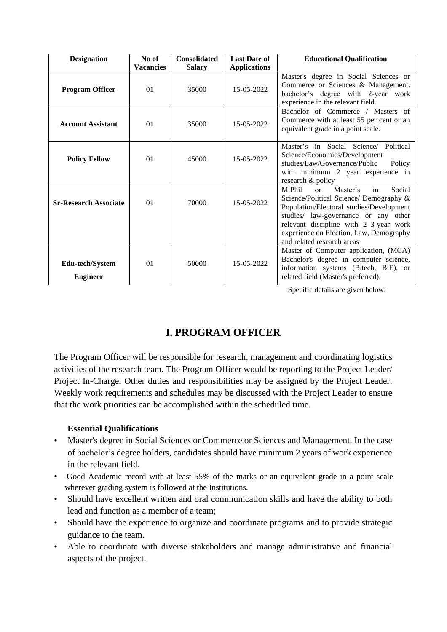| <b>Designation</b>                 | No of<br><b>Vacancies</b> | <b>Consolidated</b><br><b>Salary</b> | <b>Last Date of</b><br><b>Applications</b> | <b>Educational Qualification</b>                                                                                                                                                                                                                                                           |
|------------------------------------|---------------------------|--------------------------------------|--------------------------------------------|--------------------------------------------------------------------------------------------------------------------------------------------------------------------------------------------------------------------------------------------------------------------------------------------|
| <b>Program Officer</b>             | 01                        | 35000                                | 15-05-2022                                 | Master's degree in Social Sciences or<br>Commerce or Sciences & Management.<br>bachelor's degree with 2-year work<br>experience in the relevant field.                                                                                                                                     |
| <b>Account Assistant</b>           | 01                        | 35000                                | 15-05-2022                                 | Bachelor of Commerce / Masters of<br>Commerce with at least 55 per cent or an<br>equivalent grade in a point scale.                                                                                                                                                                        |
| <b>Policy Fellow</b>               | 01                        | 45000                                | 15-05-2022                                 | Master's in Social Science/ Political<br>Science/Economics/Development<br>studies/Law/Governance/Public<br>Policy<br>with minimum 2 year experience in<br>research & policy                                                                                                                |
| <b>Sr-Research Associate</b>       | 01                        | 70000                                | 15-05-2022                                 | in<br>M.Phil<br>Master's<br>Social<br>or<br>Science/Political Science/ Demography &<br>Population/Electoral studies/Development<br>studies/ law-governance or any other<br>relevant discipline with 2-3-year work<br>experience on Election, Law, Demography<br>and related research areas |
| Edu-tech/System<br><b>Engineer</b> | 01                        | 50000                                | 15-05-2022                                 | Master of Computer application, (MCA)<br>Bachelor's degree in computer science,<br>information systems (B.tech, B.E), or<br>related field (Master's preferred).                                                                                                                            |

Specific details are given below:

# **I. PROGRAM OFFICER**

The Program Officer will be responsible for research, management and coordinating logistics activities of the research team. The Program Officer would be reporting to the Project Leader/ Project In-Charge**.** Other duties and responsibilities may be assigned by the Project Leader. Weekly work requirements and schedules may be discussed with the Project Leader to ensure that the work priorities can be accomplished within the scheduled time.

### **Essential Qualifications**

- Master's degree in Social Sciences or Commerce or Sciences and Management. In the case of bachelor's degree holders, candidates should have minimum 2 years of work experience in the relevant field.
- Good Academic record with at least 55% of the marks or an equivalent grade in a point scale wherever grading system is followed at the Institutions.
- Should have excellent written and oral communication skills and have the ability to both lead and function as a member of a team;
- Should have the experience to organize and coordinate programs and to provide strategic guidance to the team.
- Able to coordinate with diverse stakeholders and manage administrative and financial aspects of the project.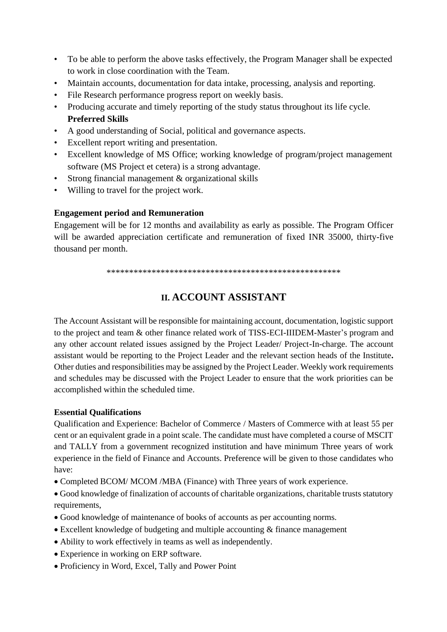- To be able to perform the above tasks effectively, the Program Manager shall be expected to work in close coordination with the Team.
- Maintain accounts, documentation for data intake, processing, analysis and reporting.
- File Research performance progress report on weekly basis.
- Producing accurate and timely reporting of the study status throughout its life cycle. **Preferred Skills**
- A good understanding of Social, political and governance aspects.
- Excellent report writing and presentation.
- Excellent knowledge of MS Office; working knowledge of program/project management software (MS Project et cetera) is a strong advantage.
- Strong financial management & organizational skills
- Willing to travel for the project work.

#### **Engagement period and Remuneration**

Engagement will be for 12 months and availability as early as possible. The Program Officer will be awarded appreciation certificate and remuneration of fixed INR 35000, thirty-five thousand per month.

\*\*\*\*\*\*\*\*\*\*\*\*\*\*\*\*\*\*\*\*\*\*\*\*\*\*\*\*\*\*\*\*\*\*\*\*\*\*\*\*\*\*\*\*\*\*\*\*\*\*\*\*

## **II. ACCOUNT ASSISTANT**

The Account Assistant will be responsible for maintaining account, documentation, logistic support to the project and team & other finance related work of TISS-ECI-IIIDEM-Master's program and any other account related issues assigned by the Project Leader/ Project-In-charge. The account assistant would be reporting to the Project Leader and the relevant section heads of the Institute**.** Other duties and responsibilities may be assigned by the Project Leader. Weekly work requirements and schedules may be discussed with the Project Leader to ensure that the work priorities can be accomplished within the scheduled time.

#### **Essential Qualifications**

Qualification and Experience: Bachelor of Commerce / Masters of Commerce with at least 55 per cent or an equivalent grade in a point scale. The candidate must have completed a course of MSCIT and TALLY from a government recognized institution and have minimum Three years of work experience in the field of Finance and Accounts. Preference will be given to those candidates who have:

- Completed BCOM/ MCOM /MBA (Finance) with Three years of work experience.
- Good knowledge of finalization of accounts of charitable organizations, charitable trusts statutory requirements,
- Good knowledge of maintenance of books of accounts as per accounting norms.
- Excellent knowledge of budgeting and multiple accounting & finance management
- Ability to work effectively in teams as well as independently.
- Experience in working on ERP software.
- Proficiency in Word, Excel, Tally and Power Point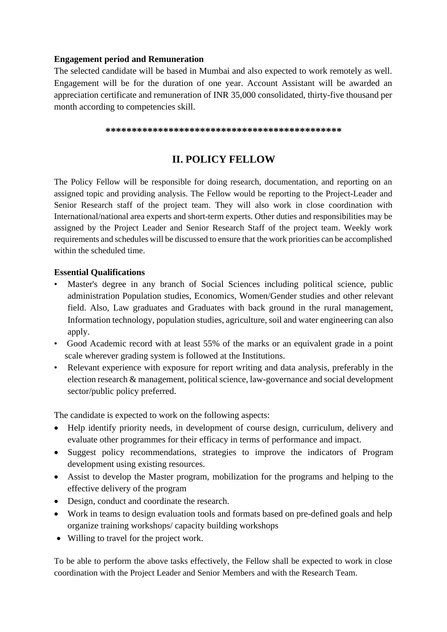### **Engagement period and Remuneration**

The selected candidate will be based in Mumbai and also expected to work remotely as well. Engagement will be for the duration of one year. Account Assistant will be awarded an appreciation certificate and remuneration of INR 35,000 consolidated, thirty-five thousand per month according to competencies skill.

**\*\*\*\*\*\*\*\*\*\*\*\*\*\*\*\*\*\*\*\*\*\*\*\*\*\*\*\*\*\*\*\*\*\*\*\*\*\*\*\*\*\*\*\*\***

## **II. POLICY FELLOW**

The Policy Fellow will be responsible for doing research, documentation, and reporting on an assigned topic and providing analysis. The Fellow would be reporting to the Project-Leader and Senior Research staff of the project team. They will also work in close coordination with International/national area experts and short-term experts. Other duties and responsibilities may be assigned by the Project Leader and Senior Research Staff of the project team. Weekly work requirements and schedules will be discussed to ensure that the work priorities can be accomplished within the scheduled time.

### **Essential Qualifications**

- Master's degree in any branch of Social Sciences including political science, public administration Population studies, Economics, Women/Gender studies and other relevant field. Also, Law graduates and Graduates with back ground in the rural management, Information technology, population studies, agriculture, soil and water engineering can also apply.
- Good Academic record with at least 55% of the marks or an equivalent grade in a point scale wherever grading system is followed at the Institutions.
- Relevant experience with exposure for report writing and data analysis, preferably in the election research & management, political science, law-governance and social development sector/public policy preferred.

The candidate is expected to work on the following aspects:

- Help identify priority needs, in development of course design, curriculum, delivery and evaluate other programmes for their efficacy in terms of performance and impact.
- Suggest policy recommendations, strategies to improve the indicators of Program development using existing resources.
- Assist to develop the Master program, mobilization for the programs and helping to the effective delivery of the program
- Design, conduct and coordinate the research.
- Work in teams to design evaluation tools and formats based on pre-defined goals and help organize training workshops/ capacity building workshops
- Willing to travel for the project work.

To be able to perform the above tasks effectively, the Fellow shall be expected to work in close coordination with the Project Leader and Senior Members and with the Research Team.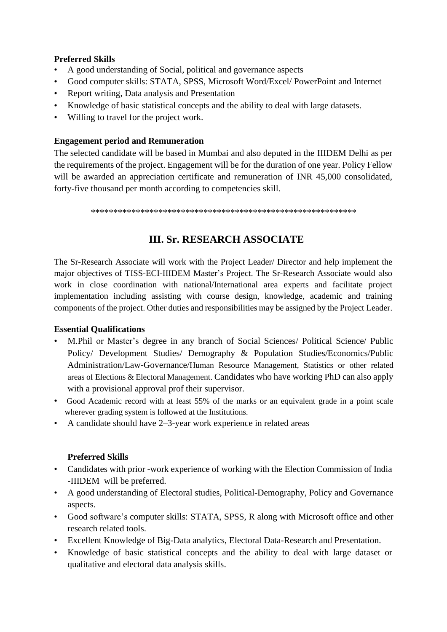### **Preferred Skills**

- A good understanding of Social, political and governance aspects
- Good computer skills: STATA, SPSS, Microsoft Word/Excel/ PowerPoint and Internet
- Report writing, Data analysis and Presentation
- Knowledge of basic statistical concepts and the ability to deal with large datasets.
- Willing to travel for the project work.

#### **Engagement period and Remuneration**

The selected candidate will be based in Mumbai and also deputed in the IIIDEM Delhi as per the requirements of the project. Engagement will be for the duration of one year. Policy Fellow will be awarded an appreciation certificate and remuneration of INR 45,000 consolidated, forty-five thousand per month according to competencies skill.

\*\*\*\*\*\*\*\*\*\*\*\*\*\*\*\*\*\*\*\*\*\*\*\*\*\*\*\*\*\*\*\*\*\*\*\*\*\*\*\*\*\*\*\*\*\*\*\*\*\*\*\*\*\*\*\*\*\*\*

## **III. Sr. RESEARCH ASSOCIATE**

The Sr-Research Associate will work with the Project Leader/ Director and help implement the major objectives of TISS-ECI-IIIDEM Master's Project. The Sr-Research Associate would also work in close coordination with national/International area experts and facilitate project implementation including assisting with course design, knowledge, academic and training components of the project. Other duties and responsibilities may be assigned by the Project Leader.

### **Essential Qualifications**

- M.Phil or Master's degree in any branch of Social Sciences/ Political Science/ Public Policy/ Development Studies/ Demography & Population Studies/Economics/Public Administration/Law-Governance/Human Resource Management, Statistics or other related areas of Elections & Electoral Management. Candidates who have working PhD can also apply with a provisional approval prof their supervisor.
- Good Academic record with at least 55% of the marks or an equivalent grade in a point scale wherever grading system is followed at the Institutions.
- A candidate should have 2–3-year work experience in related areas

### **Preferred Skills**

- Candidates with prior -work experience of working with the Election Commission of India -IIIDEM will be preferred.
- A good understanding of Electoral studies, Political-Demography, Policy and Governance aspects.
- Good software's computer skills: STATA, SPSS, R along with Microsoft office and other research related tools.
- Excellent Knowledge of Big-Data analytics, Electoral Data-Research and Presentation.
- Knowledge of basic statistical concepts and the ability to deal with large dataset or qualitative and electoral data analysis skills.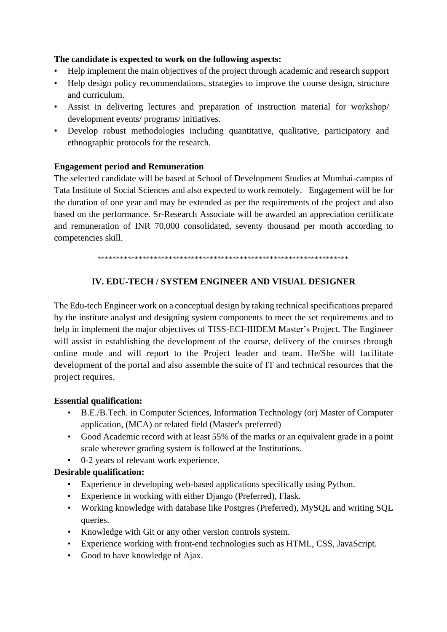### **The candidate is expected to work on the following aspects:**

- Help implement the main objectives of the project through academic and research support
- Help design policy recommendations, strategies to improve the course design, structure and curriculum.
- Assist in delivering lectures and preparation of instruction material for workshop/ development events/ programs/ initiatives.
- Develop robust methodologies including quantitative, qualitative, participatory and ethnographic protocols for the research.

### **Engagement period and Remuneration**

The selected candidate will be based at School of Development Studies at Mumbai-campus of Tata Institute of Social Sciences and also expected to work remotely. Engagement will be for the duration of one year and may be extended as per the requirements of the project and also based on the performance. Sr-Research Associate will be awarded an appreciation certificate and remuneration of INR 70,000 consolidated, seventy thousand per month according to competencies skill.

\*\*\*\*\*\*\*\*\*\*\*\*\*\*\*\*\*\*\*\*\*\*\*\*\*\*\*\*\*\*\*\*\*\*\*\*\*\*\*\*\*\*\*\*\*\*\*\*\*\*\*\*\*\*\*\*\*\*\*\*\*\*\*\*\*\*\*

### **IV. EDU-TECH / SYSTEM ENGINEER AND VISUAL DESIGNER**

The Edu-tech Engineer work on a conceptual design by taking technical specifications prepared by the institute analyst and designing system components to meet the set requirements and to help in implement the major objectives of TISS-ECI-IIIDEM Master's Project. The Engineer will assist in establishing the development of the course, delivery of the courses through online mode and will report to the Project leader and team. He/She will facilitate development of the portal and also assemble the suite of IT and technical resources that the project requires.

### **Essential qualification:**

- B.E./B.Tech. in Computer Sciences, Information Technology (or) Master of Computer application, (MCA) or related field (Master's preferred)
- Good Academic record with at least 55% of the marks or an equivalent grade in a point scale wherever grading system is followed at the Institutions.
- 0-2 years of relevant work experience.

### **Desirable qualification:**

- Experience in developing web-based applications specifically using Python.
- Experience in working with either Django (Preferred), Flask.
- Working knowledge with database like Postgres (Preferred), MySQL and writing SQL queries.
- Knowledge with Git or any other version controls system.
- Experience working with front-end technologies such as HTML, CSS, JavaScript.
- Good to have knowledge of Ajax.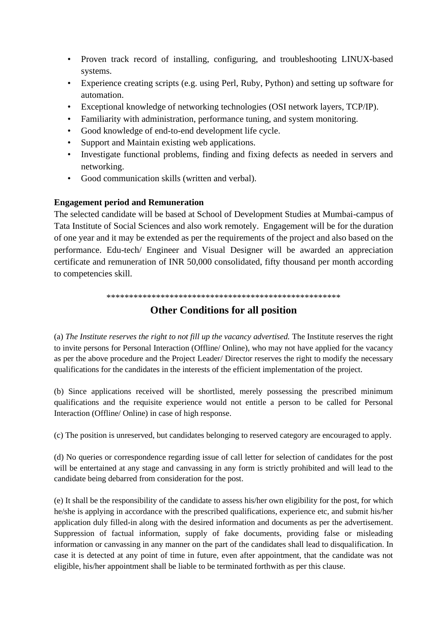- Proven track record of installing, configuring, and troubleshooting LINUX-based systems.
- Experience creating scripts (e.g. using Perl, Ruby, Python) and setting up software for automation.
- Exceptional knowledge of networking technologies (OSI network layers, TCP/IP).
- Familiarity with administration, performance tuning, and system monitoring.
- Good knowledge of end-to-end development life cycle.
- Support and Maintain existing web applications.
- Investigate functional problems, finding and fixing defects as needed in servers and networking.
- Good communication skills (written and verbal).

### **Engagement period and Remuneration**

The selected candidate will be based at School of Development Studies at Mumbai-campus of Tata Institute of Social Sciences and also work remotely. Engagement will be for the duration of one year and it may be extended as per the requirements of the project and also based on the performance. Edu-tech/ Engineer and Visual Designer will be awarded an appreciation certificate and remuneration of INR 50,000 consolidated, fifty thousand per month according to competencies skill.

\*\*\*\*\*\*\*\*\*\*\*\*\*\*\*\*\*\*\*\*\*\*\*\*\*\*\*\*\*\*\*\*\*\*\*\*\*\*\*\*\*\*\*\*\*\*\*\*\*\*\*\*

## **Other Conditions for all position**

(a) *The Institute reserves the right to not fill up the vacancy advertised.* The Institute reserves the right to invite persons for Personal Interaction (Offline/ Online), who may not have applied for the vacancy as per the above procedure and the Project Leader/ Director reserves the right to modify the necessary qualifications for the candidates in the interests of the efficient implementation of the project.

(b) Since applications received will be shortlisted, merely possessing the prescribed minimum qualifications and the requisite experience would not entitle a person to be called for Personal Interaction (Offline/ Online) in case of high response.

(c) The position is unreserved, but candidates belonging to reserved category are encouraged to apply.

(d) No queries or correspondence regarding issue of call letter for selection of candidates for the post will be entertained at any stage and canvassing in any form is strictly prohibited and will lead to the candidate being debarred from consideration for the post.

(e) It shall be the responsibility of the candidate to assess his/her own eligibility for the post, for which he/she is applying in accordance with the prescribed qualifications, experience etc, and submit his/her application duly filled-in along with the desired information and documents as per the advertisement. Suppression of factual information, supply of fake documents, providing false or misleading information or canvassing in any manner on the part of the candidates shall lead to disqualification. In case it is detected at any point of time in future, even after appointment, that the candidate was not eligible, his/her appointment shall be liable to be terminated forthwith as per this clause.